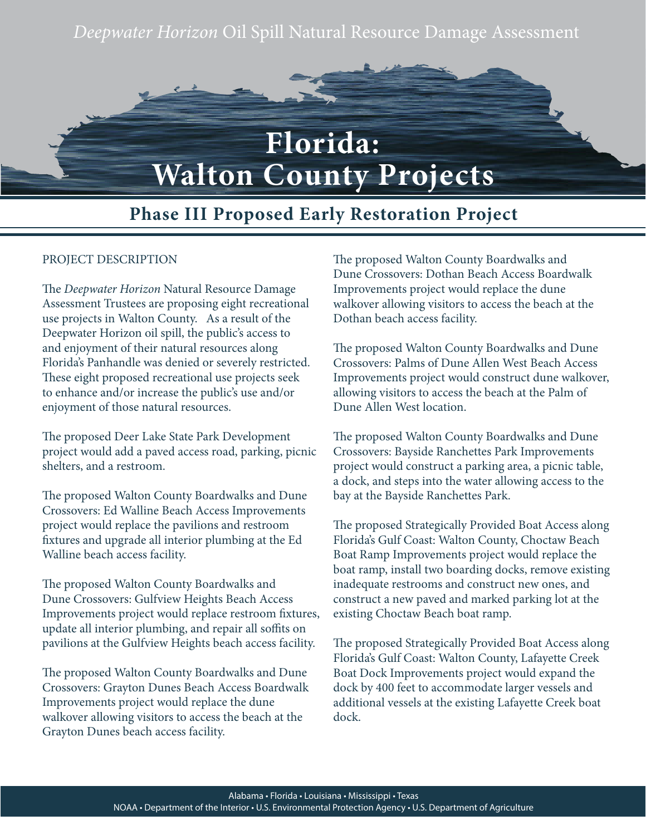*Deepwater Horizon* Oil Spill Natural Resource Damage Assessment



## **Phase III Proposed Early Restoration Project**

## PROJECT DESCRIPTION

The *Deepwater Horizon* Natural Resource Damage Assessment Trustees are proposing eight recreational use projects in Walton County. As a result of the Deepwater Horizon oil spill, the public's access to and enjoyment of their natural resources along Florida's Panhandle was denied or severely restricted. These eight proposed recreational use projects seek to enhance and/or increase the public's use and/or enjoyment of those natural resources.

The proposed Deer Lake State Park Development project would add a paved access road, parking, picnic shelters, and a restroom.

The proposed Walton County Boardwalks and Dune Crossovers: Ed Walline Beach Access Improvements project would replace the pavilions and restroom fixtures and upgrade all interior plumbing at the Ed Walline beach access facility.

The proposed Walton County Boardwalks and Dune Crossovers: Gulfview Heights Beach Access Improvements project would replace restroom fixtures, update all interior plumbing, and repair all soffits on pavilions at the Gulfview Heights beach access facility.

The proposed Walton County Boardwalks and Dune Crossovers: Grayton Dunes Beach Access Boardwalk Improvements project would replace the dune walkover allowing visitors to access the beach at the Grayton Dunes beach access facility.

The proposed Walton County Boardwalks and Dune Crossovers: Dothan Beach Access Boardwalk Improvements project would replace the dune walkover allowing visitors to access the beach at the Dothan beach access facility.

The proposed Walton County Boardwalks and Dune Crossovers: Palms of Dune Allen West Beach Access Improvements project would construct dune walkover, allowing visitors to access the beach at the Palm of Dune Allen West location.

The proposed Walton County Boardwalks and Dune Crossovers: Bayside Ranchettes Park Improvements project would construct a parking area, a picnic table, a dock, and steps into the water allowing access to the bay at the Bayside Ranchettes Park.

The proposed Strategically Provided Boat Access along Florida's Gulf Coast: Walton County, Choctaw Beach Boat Ramp Improvements project would replace the boat ramp, install two boarding docks, remove existing inadequate restrooms and construct new ones, and construct a new paved and marked parking lot at the existing Choctaw Beach boat ramp.

The proposed Strategically Provided Boat Access along Florida's Gulf Coast: Walton County, Lafayette Creek Boat Dock Improvements project would expand the dock by 400 feet to accommodate larger vessels and additional vessels at the existing Lafayette Creek boat dock.